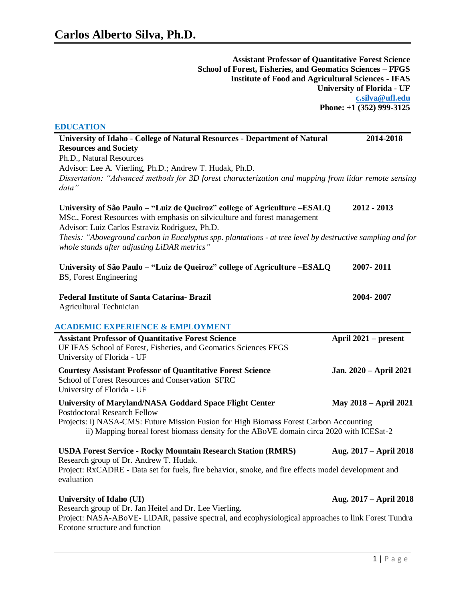**Assistant Professor of Quantitative Forest Science School of Forest, Fisheries, and Geomatics Sciences – FFGS Institute of Food and Agricultural Sciences - IFAS University of Florida - UF [c.silva@ufl.edu](mailto:c.silva@ufl.edu) Phone: +1 (352) 999-3125**

# **EDUCATION**

| University of Idaho - College of Natural Resources - Department of Natural<br><b>Resources and Society</b>                                                                                                 | 2014-2018                    |
|------------------------------------------------------------------------------------------------------------------------------------------------------------------------------------------------------------|------------------------------|
| Ph.D., Natural Resources                                                                                                                                                                                   |                              |
| Advisor: Lee A. Vierling, Ph.D.; Andrew T. Hudak, Ph.D.                                                                                                                                                    |                              |
| Dissertation: "Advanced methods for 3D forest characterization and mapping from lidar remote sensing<br>data"                                                                                              |                              |
| University of São Paulo - "Luiz de Queiroz" college of Agriculture - ESALQ<br>MSc., Forest Resources with emphasis on silviculture and forest management<br>Advisor: Luiz Carlos Estraviz Rodriguez, Ph.D. | 2012 - 2013                  |
| Thesis: "Aboveground carbon in Eucalyptus spp. plantations - at tree level by destructive sampling and for<br>whole stands after adjusting LiDAR metrics"                                                  |                              |
| University of São Paulo - "Luiz de Queiroz" college of Agriculture - ESALQ<br>BS, Forest Engineering                                                                                                       | 2007-2011                    |
| <b>Federal Institute of Santa Catarina- Brazil</b><br><b>Agricultural Technician</b>                                                                                                                       | 2004-2007                    |
| <b>ACADEMIC EXPERIENCE &amp; EMPLOYMENT</b>                                                                                                                                                                |                              |
| <b>Assistant Professor of Quantitative Forest Science</b><br>UF IFAS School of Forest, Fisheries, and Geomatics Sciences FFGS<br>University of Florida - UF                                                | April 2021 – present         |
| <b>Courtesy Assistant Professor of Quantitative Forest Science</b><br>School of Forest Resources and Conservation SFRC<br>University of Florida - UF                                                       | Jan. 2020 - April 2021       |
| <b>University of Maryland/NASA Goddard Space Flight Center</b><br><b>Postdoctoral Research Fellow</b>                                                                                                      | <b>May 2018 - April 2021</b> |
| Projects: i) NASA-CMS: Future Mission Fusion for High Biomass Forest Carbon Accounting<br>ii) Mapping boreal forest biomass density for the ABoVE domain circa 2020 with ICESat-2                          |                              |
| <b>USDA Forest Service - Rocky Mountain Research Station (RMRS)</b><br>Research group of Dr. Andrew T. Hudak.                                                                                              | Aug. 2017 – April 2018       |
| Project: RxCADRE - Data set for fuels, fire behavior, smoke, and fire effects model development and<br>evaluation                                                                                          |                              |
| <b>University of Idaho (UI)</b><br>Research group of Dr. Jan Heitel and Dr. Lee Vierling.                                                                                                                  | Aug. 2017 – April 2018       |
| Project: NASA-ABoVE-LiDAR, passive spectral, and ecophysiological approaches to link Forest Tundra                                                                                                         |                              |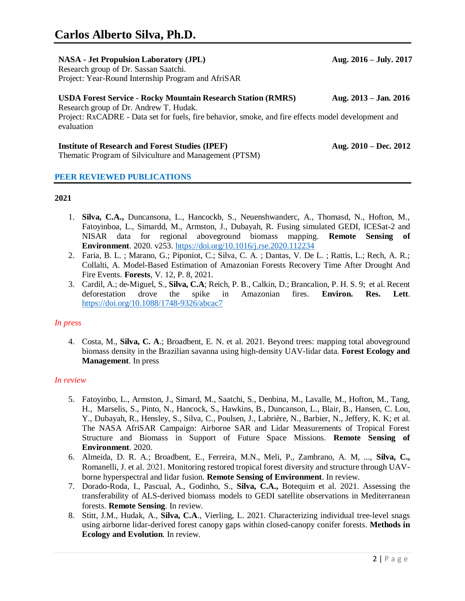# **NASA - Jet Propulsion Laboratory (JPL) Aug. 2016 – July. 2017**

Research group of Dr. Sassan Saatchi. Project: Year-Round Internship Program and AfriSAR

# **USDA Forest Service - Rocky Mountain Research Station (RMRS) Aug. 2013 – Jan. 2016**

Research group of Dr. Andrew T. Hudak. Project: RxCADRE - Data set for fuels, fire behavior, smoke, and fire effects model development and evaluation

# **Institute of Research and Forest Studies (IPEF) Aug. 2010 – Dec. 2012**

Thematic Program of Silviculture and Management (PTSM)

## **PEER REVIEWED PUBLICATIONS**

## **2021**

- 1. **Silva, C.A.,** Duncansona, L., Hancockb, S., Neuenshwanderc, A., Thomasd, N., Hofton, M., Fatoyinboa, L., Simardd, M., Armston, J., Dubayah, R. Fusing simulated GEDI, ICESat-2 and NISAR data for regional aboveground biomass mapping. **Remote Sensing of Environment**. 2020*.* v253.<https://doi.org/10.1016/j.rse.2020.112234>
- 2. Faria, B. L. ; Marano, G.; Piponiot, C.; Silva, C. A. ; Dantas, V. De L. ; Rattis, L.; Rech, A. R.; Collalti, A. Model-Based Estimation of Amazonian Forests Recovery Time After Drought And Fire Events. **Forests**, V. 12, P. 8, 2021.
- 3. Cardil, A.; de-Miguel, S., **Silva, C.A**; Reich, P. B., Calkin, D.; Brancalion, P. H. S. 9; et al. Recent deforestation drove the spike in Amazonian fires. **Environ. Res. Lett**. <https://doi.org/10.1088/1748-9326/abcac7>

#### *In press*

4. Costa, M., **Silva, C. A**.; Broadbent, E. N. et al. 2021. Beyond trees: mapping total aboveground biomass density in the Brazilian savanna using high-density UAV-lidar data. **Forest Ecology and Management**. In press

#### *In review*

- 5. Fatoyinbo, L., Armston, J., Simard, M., Saatchi, S., Denbina, M., Lavalle, M., Hofton, M., Tang, H., Marselis, S., Pinto, N., Hancock, S., Hawkins, B., Duncanson, L., Blair, B., Hansen, C. Lou, Y., Dubayah, R., Hensley, S., Silva, C., Poulsen, J., Labrière, N., Barbier, N., Jeffery, K. K; et al. The NASA AfriSAR Campaign: Airborne SAR and Lidar Measurements of Tropical Forest Structure and Biomass in Support of Future Space Missions. **Remote Sensing of Environment**. 2020*.*
- 6. Almeida, D. R. A.; Broadbent, E., Ferreira, M.N., Meli, P., Zambrano, A. M, ..., **Silva, C.,** Romanelli, J. et al. 2021. Monitoring restored tropical forest diversity and structure through UAVborne hyperspectral and lidar fusion. **Remote Sensing of Environment**. In review.
- 7. Dorado-Roda, I., Pascual, A., Godinho, S., **Silva, C.A.,** Botequim et al. 2021. Assessing the transferability of ALS-derived biomass models to GEDI satellite observations in Mediterranean forests. **Remote Sensing**. In review.
- 8. Stitt, J.M., Hudak, A., **Silva, C.A**., Vierling, L. 2021. Characterizing individual tree-level snags using airborne lidar-derived forest canopy gaps within closed-canopy conifer forests. **Methods in Ecology and Evolution**. In review.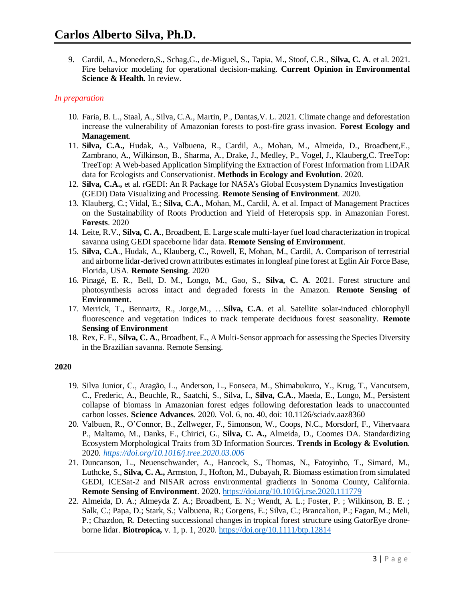9. Cardil, A., Monedero,S., Schag,G., de-Miguel, S., Tapia, M., Stoof, C.R., **Silva, C. A**. et al. 2021. Fire behavior modeling for operational decision-making. **Current Opinion in Environmental Science & Health.** In review.

## *In preparation*

- 10. Faria, B. L., Staal, A., Silva, C.A., Martin, P., Dantas,V. L. 2021. Climate change and deforestation increase the vulnerability of Amazonian forests to post-fire grass invasion. **Forest Ecology and Management**.
- 11. **Silva, C.A.,** Hudak, A., Valbuena, R., Cardil, A., Mohan, M., Almeida, D., Broadbent,E., Zambrano, A., Wilkinson, B., Sharma, A., Drake, J., Medley, P., Vogel, J., Klauberg,C. TreeTop: TreeTop: A Web-based Application Simplifying the Extraction of Forest Information from LiDAR data for Ecologists and Conservationist. **Methods in Ecology and Evolution**. 2020*.*
- 12. **Silva, C.A.,** et al. rGEDI: An R Package for NASA's Global Ecosystem Dynamics Investigation (GEDI) Data Visualizing and Processing. **Remote Sensing of Environment**. 2020*.*
- 13. Klauberg, C.; Vidal, E.; **Silva, C.A**., Mohan, M., Cardil, A. et al. Impact of Management Practices on the Sustainability of Roots Production and Yield of Heteropsis spp. in Amazonian Forest. **Forests**. 2020
- 14. Leite, R.V., **Silva, C. A**., Broadbent, E. Large scale multi-layer fuel load characterization in tropical savanna using GEDI spaceborne lidar data. **Remote Sensing of Environment**.
- 15. **Silva, C.A**., Hudak, A., Klauberg, C., Rowell, E, Mohan, M., Cardil, A. Comparison of terrestrial and airborne lidar-derived crown attributes estimates in longleaf pine forest at Eglin Air Force Base, Florida, USA. **Remote Sensing**. 2020
- 16. Pinagé, E. R., Bell, D. M., Longo, M., Gao, S., **Silva, C. A**. 2021. Forest structure and photosynthesis across intact and degraded forests in the Amazon. **Remote Sensing of Environment**.
- 17. Merrick, T., Bennartz, R., Jorge,M., …**Silva, C.A**. et al. Satellite solar-induced chlorophyll fluorescence and vegetation indices to track temperate deciduous forest seasonality. **Remote Sensing of Environment**
- 18. Rex, F. E., **Silva, C. A**., Broadbent, E., A Multi-Sensor approach for assessing the Species Diversity in the Brazilian savanna. Remote Sensing.

- 19. Silva Junior, C., Aragão, L., Anderson, L., Fonseca, M., Shimabukuro, Y., Krug, T., Vancutsem, C., Frederic, A., Beuchle, R., Saatchi, S., Silva, I., **Silva, C.A**., Maeda, E., Longo, M., Persistent collapse of biomass in Amazonian forest edges following deforestation leads to unaccounted carbon losses. **Science Advances**. 2020. Vol. 6, no. 40, doi: 10.1126/sciadv.aaz8360
- 20. Valbuen, R., O'Connor, B., Zellweger, F., Simonson, W., Coops, N.C., Morsdorf, F., Vihervaara P., Maltamo, M., Danks, F., Chirici, G., **Silva, C. A.,** Almeida, D., Coomes DA. Standardizing Ecosystem Morphological Traits from 3D Information Sources. **Trends in Ecology & Evolution**. 2020*. <https://doi.org/10.1016/j.tree.2020.03.006>*
- 21. Duncanson, L., Neuenschwander, A., Hancock, S., Thomas, N., Fatoyinbo, T., Simard, M., Luthcke, S., **Silva, C. A.,** Armston, J., Hofton, M., Dubayah, R. Biomass estimation from simulated GEDI, ICESat-2 and NISAR across environmental gradients in Sonoma County, California. **Remote Sensing of Environment**. 2020. <https://doi.org/10.1016/j.rse.2020.111779>
- 22. Almeida, D. A.; Almeyda Z. A.; Broadbent, E. N.; Wendt, A. L.; Foster, P. ; Wilkinson, B. E. ; Salk, C.; Papa, D.; Stark, S.; Valbuena, R.; Gorgens, E.; Silva, C.; Brancalion, P.; Fagan, M.; Meli, P.; Chazdon, R. Detecting successional changes in tropical forest structure using GatorEye droneborne lidar. **Biotropica,** v. 1, p. 1, 2020. <https://doi.org/10.1111/btp.12814>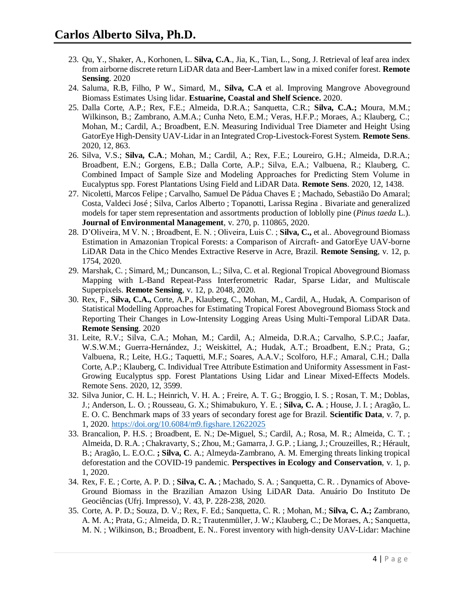- 23. Qu, Y., Shaker, A., Korhonen, L. **Silva, C.A**., Jia, K., Tian, L., Song, J. Retrieval of leaf area index from airborne discrete return LiDAR data and Beer-Lambert law in a mixed conifer forest. **Remote Sensing**. 2020
- 24. Saluma, R.B, Filho, P W., Simard, M., **Silva, C.A** et al. Improving Mangrove Aboveground Biomass Estimates Using lidar. **Estuarine, Coastal and Shelf Science.** 2020.
- 25. Dalla Corte, A.P.; Rex, F.E.; Almeida, D.R.A.; Sanquetta, C.R.; **Silva, C.A.;** Moura, M.M.; Wilkinson, B.; Zambrano, A.M.A.; Cunha Neto, E.M.; Veras, H.F.P.; Moraes, A.; Klauberg, C.; Mohan, M.; Cardil, A.; Broadbent, E.N. Measuring Individual Tree Diameter and Height Using GatorEye High-Density UAV-Lidar in an Integrated Crop-Livestock-Forest System. **Remote Sens**. 2020, 12, 863.
- 26. Silva, V.S.; **Silva, C.A**.; Mohan, M.; Cardil, A.; Rex, F.E.; Loureiro, G.H.; Almeida, D.R.A.; Broadbent, E.N.; Gorgens, E.B.; Dalla Corte, A.P.; Silva, E.A.; Valbuena, R.; Klauberg, C. Combined Impact of Sample Size and Modeling Approaches for Predicting Stem Volume in Eucalyptus spp. Forest Plantations Using Field and LiDAR Data. **Remote Sens**. 2020, 12, 1438.
- 27. Nicoletti, Marcos Felipe ; Carvalho, Samuel De Pádua Chaves E ; Machado, Sebastião Do Amaral; Costa, Valdeci José ; Silva, Carlos Alberto ; Topanotti, Larissa Regina . Bivariate and generalized models for taper stem representation and assortments production of loblolly pine (*Pinus taeda* L.). **Journal of Environmental Management**, v. 270, p. 110865, 2020.
- 28. D'Oliveira, M V. N. ; Broadbent, E. N. ; Oliveira, Luis C. ; **Silva, C.,** et al.. Aboveground Biomass Estimation in Amazonian Tropical Forests: a Comparison of Aircraft- and GatorEye UAV-borne LiDAR Data in the Chico Mendes Extractive Reserve in Acre, Brazil. **Remote Sensing**, v. 12, p. 1754, 2020.
- 29. Marshak, C. ; Simard, M,; Duncanson, L.; Silva, C. et al. Regional Tropical Aboveground Biomass Mapping with L-Band Repeat-Pass Interferometric Radar, Sparse Lidar, and Multiscale Superpixels. **Remote Sensing**, v. 12, p. 2048, 2020.
- 30. Rex, F., **Silva, C.A.,** Corte, A.P., Klauberg, C., Mohan, M., Cardil, A., Hudak, A. Comparison of Statistical Modelling Approaches for Estimating Tropical Forest Aboveground Biomass Stock and Reporting Their Changes in Low-Intensity Logging Areas Using Multi-Temporal LiDAR Data. **Remote Sensing**. 2020
- 31. Leite, R.V.; Silva, C.A.; Mohan, M.; Cardil, A.; Almeida, D.R.A.; Carvalho, S.P.C.; Jaafar, W.S.W.M.; Guerra-Hernández, J.; Weiskittel, A.; Hudak, A.T.; Broadbent, E.N.; Prata, G.; Valbuena, R.; Leite, H.G.; Taquetti, M.F.; Soares, A.A.V.; Scolforo, H.F.; Amaral, C.H.; Dalla Corte, A.P.; Klauberg, C. Individual Tree Attribute Estimation and Uniformity Assessment in Fast-Growing Eucalyptus spp. Forest Plantations Using Lidar and Linear Mixed-Effects Models. Remote Sens. 2020, 12, 3599.
- 32. Silva Junior, C. H. L.; Heinrich, V. H. A. ; Freire, A. T. G.; Broggio, I. S. ; Rosan, T. M.; Doblas, J.; Anderson, L. O. ; Rousseau, G. X.; Shimabukuro, Y. E. ; **Silva, C. A**. ; House, J. I. ; Aragão, L. E. O. C. Benchmark maps of 33 years of secondary forest age for Brazil. **Scientific Data**, v. 7, p. 1, 2020. <https://doi.org/10.6084/m9.figshare.12622025>
- 33. Brancalion, P. H.S. ; Broadbent, E. N.; De-Miguel, S.; Cardil, A.; Rosa, M. R.; Almeida, C. T. ; Almeida, D. R.A. ; Chakravarty, S.; Zhou, M.; Gamarra, J. G.P. ; Liang, J.; Crouzeilles, R.; Hérault, B.; Aragão, L. E.O.C. **; Silva, C**. A.; Almeyda-Zambrano, A. M. Emerging threats linking tropical deforestation and the COVID-19 pandemic. **Perspectives in Ecology and Conservation**, v. 1, p. 1, 2020.
- 34. Rex, F. E. ; Corte, A. P. D. ; **Silva, C. A.** ; Machado, S. A. ; Sanquetta, C. R. . Dynamics of Above-Ground Biomass in the Brazilian Amazon Using LiDAR Data. Anuário Do Instituto De Geociências (Ufrj. Impresso), V. 43, P. 228-238, 2020.
- 35. Corte, A. P. D.; Souza, D. V.; Rex, F. Ed.; Sanquetta, C. R. ; Mohan, M.; **Silva, C. A.;** Zambrano, A. M. A.; Prata, G.; Almeida, D. R.; Trautenmüller, J. W.; Klauberg, C.; De Moraes, A.; Sanquetta, M. N. ; Wilkinson, B.; Broadbent, E. N.. Forest inventory with high-density UAV-Lidar: Machine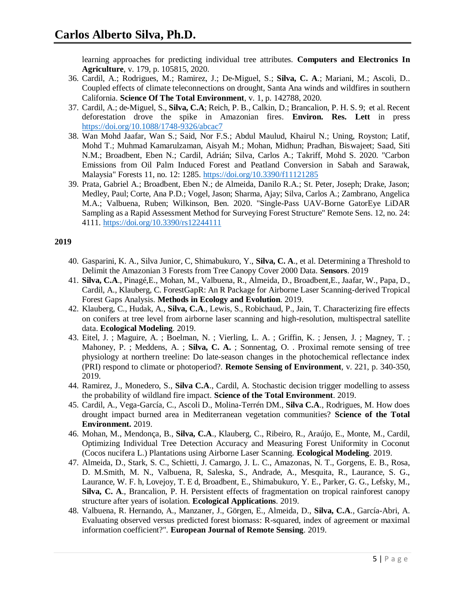learning approaches for predicting individual tree attributes. **Computers and Electronics In Agriculture**, v. 179, p. 105815, 2020.

- 36. Cardil, A.; Rodrigues, M.; Ramirez, J.; De-Miguel, S.; **Silva, C. A**.; Mariani, M.; Ascoli, D.. Coupled effects of climate teleconnections on drought, Santa Ana winds and wildfires in southern California. **Science Of The Total Environment**, v. 1, p. 142788, 2020.
- 37. Cardil, A.; de-Miguel, S., **Silva, C.A**; Reich, P. B., Calkin, D.; Brancalion, P. H. S. 9; et al. Recent deforestation drove the spike in Amazonian fires. **Environ. Res. Lett** in press <https://doi.org/10.1088/1748-9326/abcac7>
- 38. Wan Mohd Jaafar, Wan S.; Said, Nor F.S.; Abdul Maulud, Khairul N.; Uning, Royston; Latif, Mohd T.; Muhmad Kamarulzaman, Aisyah M.; Mohan, Midhun; Pradhan, Biswajeet; Saad, Siti N.M.; Broadbent, Eben N.; Cardil, Adrián; Silva, Carlos A.; Takriff, Mohd S. 2020. "Carbon Emissions from Oil Palm Induced Forest and Peatland Conversion in Sabah and Sarawak, Malaysia" Forests 11, no. 12: 1285.<https://doi.org/10.3390/f11121285>
- 39. Prata, Gabriel A.; Broadbent, Eben N.; de Almeida, Danilo R.A.; St. Peter, Joseph; Drake, Jason; Medley, Paul; Corte, Ana P.D.; Vogel, Jason; Sharma, Ajay; Silva, Carlos A.; Zambrano, Angelica M.A.; Valbuena, Ruben; Wilkinson, Ben. 2020. "Single-Pass UAV-Borne GatorEye LiDAR Sampling as a Rapid Assessment Method for Surveying Forest Structure" Remote Sens. 12, no. 24: 4111.<https://doi.org/10.3390/rs12244111>

- 40. Gasparini, K. A., Silva Junior, C, Shimabukuro, Y., **Silva, C. A**., et al. Determining a Threshold to Delimit the Amazonian 3 Forests from Tree Canopy Cover 2000 Data. **Sensors**. 2019
- 41. **Silva, C.A**., Pinagé,E., Mohan, M., Valbuena, R., Almeida, D., Broadbent,E., Jaafar, W., Papa, D., Cardil, A., Klauberg, C. ForestGapR: An R Package for Airborne Laser Scanning-derived Tropical Forest Gaps Analysis. **Methods in Ecology and Evolution**. 2019.
- 42. Klauberg, C., Hudak, A., **Silva, C.A**., Lewis, S., Robichaud, P., Jain, T. Characterizing fire effects on conifers at tree level from airborne laser scanning and high-resolution, multispectral satellite data. **Ecological Modeling**. 2019.
- 43. Eitel, J. ; Maguire, A. ; Boelman, N. ; Vierling, L. A. ; Griffin, K. ; Jensen, J. ; Magney, T. ; Mahoney, P. ; Meddens, A. ; **Silva, C. A.** ; Sonnentag, O. . Proximal remote sensing of tree physiology at northern treeline: Do late-season changes in the photochemical reflectance index (PRI) respond to climate or photoperiod?. **Remote Sensing of Environment**, v. 221, p. 340-350, 2019.
- 44. Ramirez, J., Monedero, S., **Silva C.A**., Cardil, A. Stochastic decision trigger modelling to assess the probability of wildland fire impact. **Science of the Total Environment**. 2019.
- 45. Cardil, A., Vega-García, C., Ascoli D., Molina-Terrén DM., **Silva C.A**., Rodrigues, M. How does drought impact burned area in Mediterranean vegetation communities? **Science of the Total Environment.** 2019.
- 46. Mohan, M., Mendonça, B., **Silva, C.A**., Klauberg, C., Ribeiro, R., Araújo, E., Monte, M., Cardil, Optimizing Individual Tree Detection Accuracy and Measuring Forest Uniformity in Coconut (Cocos nucifera L.) Plantations using Airborne Laser Scanning. **Ecological Modeling**. 2019.
- 47. Almeida, D., Stark, S. C., Schietti, J. Camargo, J. L. C., Amazonas, N. T., Gorgens, E. B., Rosa, D. M.Smith, M. N., Valbuena, R, Saleska, S., Andrade, A., Mesquita, R., Laurance, S. G., Laurance, W. F. h, Lovejoy, T. E d, Broadbent, E., Shimabukuro, Y. E., Parker, G. G., Lefsky, M., **Silva, C. A**., Brancalion, P. H. Persistent effects of fragmentation on tropical rainforest canopy structure after years of isolation. **Ecological Applications**. 2019.
- 48. Valbuena, R. Hernando, A., Manzaner, J., Görgen, E., Almeida, D., **Silva, C.A**., García-Abri, A. Evaluating observed versus predicted forest biomass: R-squared, index of agreement or maximal information coefficient?". **European Journal of Remote Sensing**. 2019.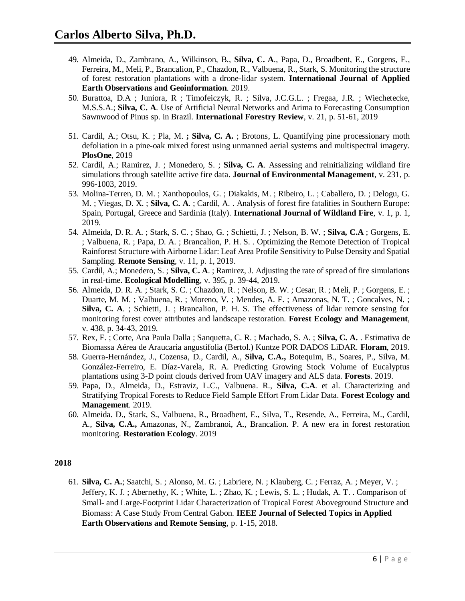- 49. Almeida, D., Zambrano, A., Wilkinson, B., **Silva, C. A**., Papa, D., Broadbent, E., Gorgens, E., Ferreira, M., Meli, P., Brancalion, P., Chazdon, R., Valbuena, R., Stark, S. Monitoring the structure of forest restoration plantations with a drone-lidar system. **International Journal of Applied Earth Observations and Geoinformation**. 2019.
- 50. Burattoa, D.A ; Juniora, R ; Timofeiczyk, R. ; Silva, J.C.G.L. ; Fregaa, J.R. ; Wiechetecke, M.S.S.A.; **Silva, C. A**. Use of Artificial Neural Networks and Arima to Forecasting Consumption Sawnwood of Pinus sp. in Brazil. **International Forestry Review**, v. 21, p. 51-61, 2019
- 51. Cardil, A.; Otsu, K. ; Pla, M. **; Silva, C. A.** ; Brotons, L. Quantifying pine processionary moth defoliation in a pine-oak mixed forest using unmanned aerial systems and multispectral imagery. **PlosOne**, 2019
- 52. Cardil, A.; Ramirez, J. ; Monedero, S. ; **Silva, C. A**. Assessing and reinitializing wildland fire simulations through satellite active fire data. **Journal of Environmental Management**, v. 231, p. 996-1003, 2019.
- 53. Molina-Terren, D. M. ; Xanthopoulos, G. ; Diakakis, M. ; Ribeiro, L. ; Caballero, D. ; Delogu, G. M. ; Viegas, D. X. ; **Silva, C. A**. ; Cardil, A. . Analysis of forest fire fatalities in Southern Europe: Spain, Portugal, Greece and Sardinia (Italy). **International Journal of Wildland Fire**, v. 1, p. 1, 2019.
- 54. Almeida, D. R. A. ; Stark, S. C. ; Shao, G. ; Schietti, J. ; Nelson, B. W. ; **Silva, C.A** ; Gorgens, E. ; Valbuena, R. ; Papa, D. A. ; Brancalion, P. H. S. . Optimizing the Remote Detection of Tropical Rainforest Structure with Airborne Lidar: Leaf Area Profile Sensitivity to Pulse Density and Spatial Sampling. **Remote Sensing**, v. 11, p. 1, 2019.
- 55. Cardil, A.; Monedero, S. ; **Silva, C. A**. ; Ramirez, J. Adjusting the rate of spread of fire simulations in real-time. **Ecological Modelling**, v. 395, p. 39-44, 2019.
- 56. Almeida, D. R. A. ; Stark, S. C. ; Chazdon, R. ; Nelson, B. W. ; Cesar, R. ; Meli, P. ; Gorgens, E. ; Duarte, M. M. ; Valbuena, R. ; Moreno, V. ; Mendes, A. F. ; Amazonas, N. T. ; Goncalves, N. ; **Silva, C. A**. ; Schietti, J. ; Brancalion, P. H. S. The effectiveness of lidar remote sensing for monitoring forest cover attributes and landscape restoration. **Forest Ecology and Management**, v. 438, p. 34-43, 2019.
- 57. Rex, F. ; Corte, Ana Paula Dalla ; Sanquetta, C. R. ; Machado, S. A. ; **Silva, C. A.** . Estimativa de Biomassa Aérea de Araucaria angustifolia (Bertol.) Kuntze POR DADOS LiDAR. **Floram**, 2019.
- 58. Guerra-Hernández, J., Cozensa, D., Cardil, A., **Silva, C.A.,** Botequim, B., Soares, P., Silva, M. González-Ferreiro, E. Díaz-Varela, R. A. Predicting Growing Stock Volume of Eucalyptus plantations using 3-D point clouds derived from UAV imagery and ALS data. **Forests**. 2019.
- 59. Papa, D., Almeida, D., Estraviz, L.C., Valbuena. R., **Silva, C.A**. et al. Characterizing and Stratifying Tropical Forests to Reduce Field Sample Effort From Lidar Data. **Forest Ecology and Management**. 2019.
- 60. Almeida. D., Stark, S., Valbuena, R., Broadbent, E., Silva, T., Resende, A., Ferreira, M., Cardil, A., **Silva, C.A.,** Amazonas, N., Zambranoi, A., Brancalion. P. A new era in forest restoration monitoring. **Restoration Ecology**. 2019

61. **Silva, C. A.**; Saatchi, S. ; Alonso, M. G. ; Labriere, N. ; Klauberg, C. ; Ferraz, A. ; Meyer, V. ; Jeffery, K. J. ; Abernethy, K. ; White, L. ; Zhao, K. ; Lewis, S. L. ; Hudak, A. T. . Comparison of Small- and Large-Footprint Lidar Characterization of Tropical Forest Aboveground Structure and Biomass: A Case Study From Central Gabon. **IEEE Journal of Selected Topics in Applied Earth Observations and Remote Sensing**, p. 1-15, 2018.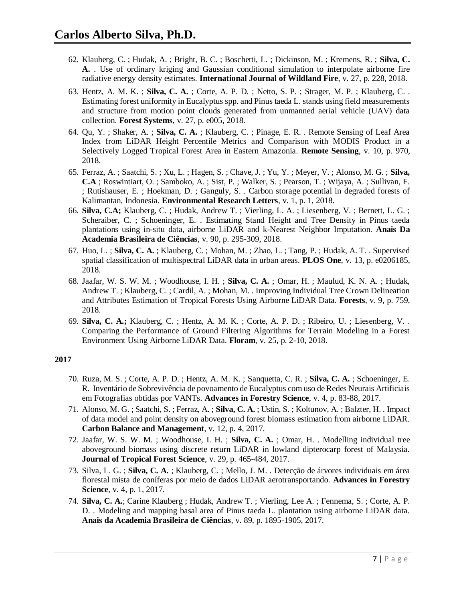- 62. Klauberg, C. ; Hudak, A. ; Bright, B. C. ; Boschetti, L. ; Dickinson, M. ; Kremens, R. ; **Silva, C. A.** . Use of ordinary kriging and Gaussian conditional simulation to interpolate airborne fire radiative energy density estimates. **International Journal of Wildland Fire**, v. 27, p. 228, 2018.
- 63. Hentz, A. M. K. ; **Silva, C. A.** ; Corte, A. P. D. ; Netto, S. P. ; Strager, M. P. ; Klauberg, C. . Estimating forest uniformity in Eucalyptus spp. and Pinus taeda L. stands using field measurements and structure from motion point clouds generated from unmanned aerial vehicle (UAV) data collection. **Forest Systems**, v. 27, p. e005, 2018.
- 64. Qu, Y. ; Shaker, A. ; **Silva, C. A.** ; Klauberg, C. ; Pinage, E. R. . Remote Sensing of Leaf Area Index from LiDAR Height Percentile Metrics and Comparison with MODIS Product in a Selectively Logged Tropical Forest Area in Eastern Amazonia. **Remote Sensing**, v. 10, p. 970, 2018.
- 65. Ferraz, A. ; Saatchi, S. ; Xu, L. ; Hagen, S. ; Chave, J. ; Yu, Y. ; Meyer, V. ; Alonso, M. G. ; **Silva, C.A** ; Roswintiart, O. ; Samboko, A. ; Sist, P. ; Walker, S. ; Pearson, T. ; Wijaya, A. ; Sullivan, F. ; Rutishauser, E. ; Hoekman, D. ; Ganguly, S. . Carbon storage potential in degraded forests of Kalimantan, Indonesia. **Environmental Research Letters**, v. 1, p. 1, 2018.
- 66. **Silva, C.A;** Klauberg, C. ; Hudak, Andrew T. ; Vierling, L. A. ; Liesenberg, V. ; Bernett, L. G. ; Scheraiber, C. ; Schoeninger, E. . Estimating Stand Height and Tree Density in Pinus taeda plantations using in-situ data, airborne LiDAR and k-Nearest Neighbor Imputation. **Anais Da Academia Brasileira de Ciências**, v. 90, p. 295-309, 2018.
- 67. Huo, L. ; **Silva, C. A.** ; Klauberg, C. ; Mohan, M. ; Zhao, L. ; Tang, P. ; Hudak, A. T. . Supervised spatial classification of multispectral LiDAR data in urban areas. **PLOS One**, v. 13, p. e0206185, 2018.
- 68. Jaafar, W. S. W. M. ; Woodhouse, I. H. ; **Silva, C. A.** ; Omar, H. ; Maulud, K. N. A. ; Hudak, Andrew T. ; Klauberg, C. ; Cardil, A. ; Mohan, M. . Improving Individual Tree Crown Delineation and Attributes Estimation of Tropical Forests Using Airborne LiDAR Data. **Forests**, v. 9, p. 759, 2018.
- 69. **Silva, C. A.;** Klauberg, C. ; Hentz, A. M. K. ; Corte, A. P. D. ; Ribeiro, U. ; Liesenberg, V. . Comparing the Performance of Ground Filtering Algorithms for Terrain Modeling in a Forest Environment Using Airborne LiDAR Data. **Floram**, v. 25, p. 2-10, 2018.

- 70. Ruza, M. S. ; Corte, A. P. D. ; Hentz, A. M. K. ; Sanquetta, C. R. ; **Silva, C. A.** ; Schoeninger, E. R. Inventário de Sobrevivência de povoamento de Eucalyptus com uso de Redes Neurais Artificiais em Fotografias obtidas por VANTs. **Advances in Forestry Science**, v. 4, p. 83-88, 2017.
- 71. Alonso, M. G. ; Saatchi, S. ; Ferraz, A. ; **Silva, C. A.** ; Ustin, S. ; Koltunov, A. ; Balzter, H. . Impact of data model and point density on aboveground forest biomass estimation from airborne LiDAR. **Carbon Balance and Management**, v. 12, p. 4, 2017.
- 72. Jaafar, W. S. W. M. ; Woodhouse, I. H. ; **Silva, C. A.** ; Omar, H. . Modelling individual tree aboveground biomass using discrete return LiDAR in lowland dipterocarp forest of Malaysia. **Journal of Tropical Forest Science**, v. 29, p. 465-484, 2017.
- 73. Silva, L. G. ; **Silva, C. A.** ; Klauberg, C. ; Mello, J. M. . Detecção de árvores individuais em área florestal mista de coníferas por meio de dados LiDAR aerotransportando. **Advances in Forestry Science**, v. 4, p. 1, 2017.
- 74. **Silva, C. A.**; Carine Klauberg ; Hudak, Andrew T. ; Vierling, Lee A. ; Fennema, S. ; Corte, A. P. D. . Modeling and mapping basal area of Pinus taeda L. plantation using airborne LiDAR data. **Anais da Academia Brasileira de Ciências**, v. 89, p. 1895-1905, 2017.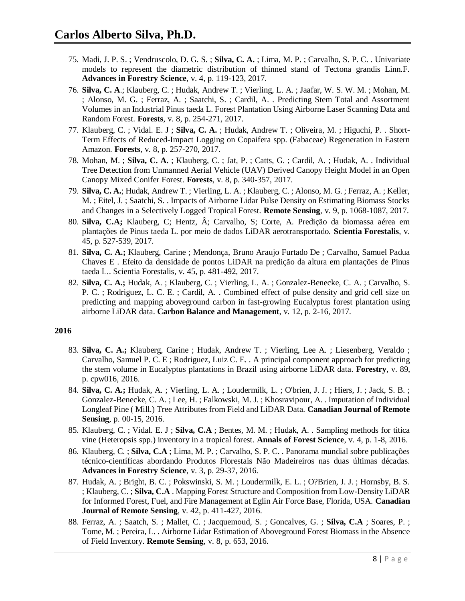- 75. Madi, J. P. S. ; Vendruscolo, D. G. S. ; **Silva, C. A.** ; Lima, M. P. ; Carvalho, S. P. C. . Univariate models to represent the diametric distribution of thinned stand of Tectona grandis Linn.F. **Advances in Forestry Science**, v. 4, p. 119-123, 2017.
- 76. **Silva, C. A**.; Klauberg, C. ; Hudak, Andrew T. ; Vierling, L. A. ; Jaafar, W. S. W. M. ; Mohan, M. ; Alonso, M. G. ; Ferraz, A. ; Saatchi, S. ; Cardil, A. . Predicting Stem Total and Assortment Volumes in an Industrial Pinus taeda L. Forest Plantation Using Airborne Laser Scanning Data and Random Forest. **Forests**, v. 8, p. 254-271, 2017.
- 77. Klauberg, C. ; Vidal. E. J ; **Silva, C. A.** ; Hudak, Andrew T. ; Oliveira, M. ; Higuchi, P. . Short-Term Effects of Reduced-Impact Logging on Copaifera spp. (Fabaceae) Regeneration in Eastern Amazon. **Forests**, v. 8, p. 257-270, 2017.
- 78. Mohan, M. ; **Silva, C. A.** ; Klauberg, C. ; Jat, P. ; Catts, G. ; Cardil, A. ; Hudak, A. . Individual Tree Detection from Unmanned Aerial Vehicle (UAV) Derived Canopy Height Model in an Open Canopy Mixed Conifer Forest. **Forests**, v. 8, p. 340-357, 2017.
- 79. **Silva, C. A.**; Hudak, Andrew T. ; Vierling, L. A. ; Klauberg, C. ; Alonso, M. G. ; Ferraz, A. ; Keller, M. ; Eitel, J. ; Saatchi, S. . Impacts of Airborne Lidar Pulse Density on Estimating Biomass Stocks and Changes in a Selectively Logged Tropical Forest. **Remote Sensing**, v. 9, p. 1068-1087, 2017.
- 80. **Silva, C.A;** Klauberg, C; Hentz, Â; Carvalho, S; Corte, A. Predição da biomassa aérea em plantações de Pinus taeda L. por meio de dados LiDAR aerotransportado. **Scientia Forestalis**, v. 45, p. 527-539, 2017.
- 81. **Silva, C. A.;** Klauberg, Carine ; Mendonça, Bruno Araujo Furtado De ; Carvalho, Samuel Padua Chaves E . Efeito da densidade de pontos LiDAR na predição da altura em plantações de Pinus taeda L.. Scientia Forestalis, v. 45, p. 481-492, 2017.
- 82. **Silva, C. A.;** Hudak, A. ; Klauberg, C. ; Vierling, L. A. ; Gonzalez-Benecke, C. A. ; Carvalho, S. P. C. ; Rodriguez, L. C. E. ; Cardil, A. . Combined effect of pulse density and grid cell size on predicting and mapping aboveground carbon in fast-growing Eucalyptus forest plantation using airborne LiDAR data. **Carbon Balance and Management**, v. 12, p. 2-16, 2017.

- 83. **Silva, C. A.;** Klauberg, Carine ; Hudak, Andrew T. ; Vierling, Lee A. ; Liesenberg, Veraldo ; Carvalho, Samuel P. C. E ; Rodriguez, Luiz C. E. . A principal component approach for predicting the stem volume in Eucalyptus plantations in Brazil using airborne LiDAR data. **Forestry**, v. 89, p. cpw016, 2016.
- 84. **Silva, C. A.;** Hudak, A. ; Vierling, L. A. ; Loudermilk, L. ; O'brien, J. J. ; Hiers, J. ; Jack, S. B. ; Gonzalez-Benecke, C. A. ; Lee, H. ; Falkowski, M. J. ; Khosravipour, A. . Imputation of Individual Longleaf Pine ( Mill.) Tree Attributes from Field and LiDAR Data. **Canadian Journal of Remote Sensing**, p. 00-15, 2016.
- 85. Klauberg, C. ; Vidal. E. J ; **Silva, C.A** ; Bentes, M. M. ; Hudak, A. . Sampling methods for titica vine (Heteropsis spp.) inventory in a tropical forest. **Annals of Forest Science**, v. 4, p. 1-8, 2016.
- 86. Klauberg, C. ; **Silva, C.A** ; Lima, M. P. ; Carvalho, S. P. C. . Panorama mundial sobre publicações técnico-científicas abordando Produtos Florestais Não Madeireiros nas duas últimas décadas. **Advances in Forestry Science**, v. 3, p. 29-37, 2016.
- 87. Hudak, A. ; Bright, B. C. ; Pokswinski, S. M. ; Loudermilk, E. L. ; O?Brien, J. J. ; Hornsby, B. S. ; Klauberg, C. ; **Silva, C.A** . Mapping Forest Structure and Composition from Low-Density LiDAR for Informed Forest, Fuel, and Fire Management at Eglin Air Force Base, Florida, USA. **Canadian Journal of Remote Sensing**, v. 42, p. 411-427, 2016.
- 88. Ferraz, A. ; Saatch, S. ; Mallet, C. ; Jacquemoud, S. ; Goncalves, G. ; **Silva, C.A** ; Soares, P. ; Tome, M. ; Pereira, L. . Airborne Lidar Estimation of Aboveground Forest Biomass in the Absence of Field Inventory. **Remote Sensing**, v. 8, p. 653, 2016.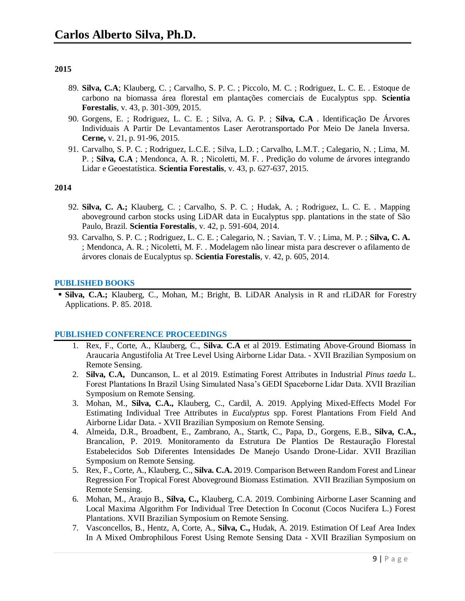- 89. **Silva, C.A**; Klauberg, C. ; Carvalho, S. P. C. ; Piccolo, M. C. ; Rodriguez, L. C. E. . Estoque de carbono na biomassa área florestal em plantações comerciais de Eucalyptus spp. **Scientia Forestalis**, v. 43, p. 301-309, 2015.
- 90. Gorgens, E. ; Rodriguez, L. C. E. ; Silva, A. G. P. ; **Silva, C.A** . Identificação De Árvores Individuais A Partir De Levantamentos Laser Aerotransportado Por Meio De Janela Inversa. **Cerne,** v. 21, p. 91-96, 2015.
- 91. Carvalho, S. P. C. ; Rodriguez, L.C.E. ; Silva, L.D. ; Carvalho, L.M.T. ; Calegario, N. ; Lima, M. P. ; **Silva, C.A** ; Mendonca, A. R. ; Nicoletti, M. F. . Predição do volume de árvores integrando Lidar e Geoestatística. **Scientia Forestalis**, v. 43, p. 627-637, 2015.

## **2014**

- 92. **Silva, C. A.;** Klauberg, C. ; Carvalho, S. P. C. ; Hudak, A. ; Rodriguez, L. C. E. . Mapping aboveground carbon stocks using LiDAR data in Eucalyptus spp. plantations in the state of São Paulo, Brazil. **Scientia Forestalis**, v. 42, p. 591-604, 2014.
- 93. Carvalho, S. P. C. ; Rodriguez, L. C. E. ; Calegario, N. ; Savian, T. V. ; Lima, M. P. ; **Silva, C. A.** ; Mendonca, A. R. ; Nicoletti, M. F. . Modelagem não linear mista para descrever o afilamento de árvores clonais de Eucalyptus sp. **Scientia Forestalis**, v. 42, p. 605, 2014.

#### **PUBLISHED BOOKS**

 **Silva, C.A.;** Klauberg, C., Mohan, M.; Bright, B. LiDAR Analysis in R and rLiDAR for Forestry Applications. P. 85. 2018.

#### **PUBLISHED CONFERENCE PROCEEDINGS**

- 1. Rex, F., Corte, A., Klauberg, C., **Silva. C.A** et al 2019. Estimating Above-Ground Biomass in Araucaria Angustifolia At Tree Level Using Airborne Lidar Data. - XVII Brazilian Symposium on Remote Sensing.
- 2. **Silva, C.A,** Duncanson, L. et al 2019. Estimating Forest Attributes in Industrial *Pinus taeda* L. Forest Plantations In Brazil Using Simulated Nasa's GEDI Spaceborne Lidar Data. XVII Brazilian Symposium on Remote Sensing.
- 3. Mohan, M., **Silva, C.A.,** Klauberg, C., Cardil, A. 2019. Applying Mixed-Effects Model For Estimating Individual Tree Attributes in *Eucalyptus* spp. Forest Plantations From Field And Airborne Lidar Data. - XVII Brazilian Symposium on Remote Sensing.
- 4. Almeida, D.R., Broadbent, E., Zambrano, A., Startk, C., Papa, D., Gorgens, E.B., **Silva, C.A.,** Brancalion, P. 2019. Monitoramento da Estrutura De Plantios De Restauração Florestal Estabelecidos Sob Diferentes Intensidades De Manejo Usando Drone-Lidar. XVII Brazilian Symposium on Remote Sensing.
- 5. Rex, F., Corte, A., Klauberg, C., **Silva. C.A.** 2019. Comparison Between Random Forest and Linear Regression For Tropical Forest Aboveground Biomass Estimation. XVII Brazilian Symposium on Remote Sensing.
- 6. Mohan, M., Araujo B., **Silva, C.,** Klauberg, C.A. 2019. Combining Airborne Laser Scanning and Local Maxima Algorithm For Individual Tree Detection In Coconut (Cocos Nucifera L.) Forest Plantations. XVII Brazilian Symposium on Remote Sensing.
- 7. Vasconcellos, B., Hentz, A, Corte, A., **Silva, C.,** Hudak, A. 2019. Estimation Of Leaf Area Index In A Mixed Ombrophilous Forest Using Remote Sensing Data - XVII Brazilian Symposium on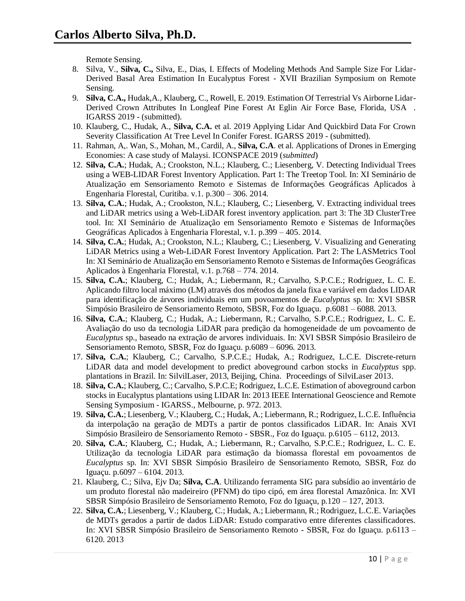Remote Sensing.

- 8. Silva, V., **Silva, C.,** Silva, E., Dias, I. Effects of Modeling Methods And Sample Size For Lidar-Derived Basal Area Estimation In Eucalyptus Forest - XVII Brazilian Symposium on Remote Sensing.
- 9. **Silva, C.A.,** Hudak,A., Klauberg, C., Rowell, E. 2019. Estimation Of Terrestrial Vs Airborne Lidar-Derived Crown Attributes In Longleaf Pine Forest At Eglin Air Force Base, Florida, USA . IGARSS 2019 - (submitted).
- 10. Klauberg, C., Hudak, A., **Silva, C.A.** et al. 2019 Applying Lidar And Quickbird Data For Crown Severity Classification At Tree Level In Conifer Forest. IGARSS 2019 - (submitted).
- 11. Rahman, A,. Wan, S., Mohan, M., Cardil, A., **Silva, C.A**. et al. Applications of Drones in Emerging Economies: A case study of Malaysi. ICONSPACE 2019 (*submitted*)
- 12. **Silva, C.A.**; Hudak, A.; Crookston, N.L.; Klauberg, C.; Liesenberg, V. Detecting Individual Trees using a WEB-LIDAR Forest Inventory Application. Part 1: The Treetop Tool. In: XI Seminário de Atualização em Sensoriamento Remoto e Sistemas de Informações Geográficas Aplicados à Engenharia Florestal, Curitiba. v.1. p.300 – 306. 2014.
- 13. **Silva, C.A.**; Hudak, A.; Crookston, N.L.; Klauberg, C.; Liesenberg, V. Extracting individual trees and LiDAR metrics using a Web-LiDAR forest inventory application. part 3: The 3D ClusterTree tool. In: XI Seminário de Atualização em Sensoriamento Remoto e Sistemas de Informações Geográficas Aplicados à Engenharia Florestal, v.1. p.399 – 405. 2014.
- 14. **Silva, C.A.**; Hudak, A.; Crookston, N.L.; Klauberg, C.; Liesenberg, V. Visualizing and Generating LiDAR Metrics using a Web-LiDAR Forest Inventory Application. Part 2: The LASMetrics Tool In: XI Seminário de Atualização em Sensoriamento Remoto e Sistemas de Informações Geográficas Aplicados à Engenharia Florestal, v.1. p.768 – 774. 2014.
- 15. **Silva, C.A.**; Klauberg, C.; Hudak, A.; Liebermann, R.; Carvalho, S.P.C.E.; Rodriguez, L. C. E. Aplicando filtro local máximo (LM) através dos métodos da janela fixa e variável em dados LIDAR para identificação de árvores individuais em um povoamentos de *Eucalyptus* sp. In: XVI SBSR Simpósio Brasileiro de Sensoriamento Remoto, SBSR, Foz do Iguaçu. p.6081 – 6088. 2013.
- 16. **Silva, C.A.**; Klauberg, C.; Hudak, A.; Liebermann, R.; Carvalho, S.P.C.E.; Rodriguez, L. C. E. Avaliação do uso da tecnologia LiDAR para predição da homogeneidade de um povoamento de *Eucalyptus* sp., baseado na extração de arvores individuais. In: XVI SBSR Simpósio Brasileiro de Sensoriamento Remoto, SBSR, Foz do Iguaçu. p.6089 – 6096. 2013.
- 17. **Silva, C.A.**; Klauberg, C.; Carvalho, S.P.C.E.; Hudak, A.; Rodriguez, L.C.E. Discrete-return LiDAR data and model development to predict aboveground carbon stocks in *Eucalyptus* spp. plantations in Brazil. In: SilvilLaser, 2013, Beijing, China. Proceedings of SilviLaser 2013.
- 18. **Silva, C.A.**; Klauberg, C.; Carvalho, S.P.C.E; Rodriguez, L.C.E. Estimation of aboveground carbon stocks in Eucalyptus plantations using LIDAR In: 2013 IEEE International Geoscience and Remote Sensing Symposium - IGARSS., Melbourne, p. 972. 2013.
- 19. **Silva, C.A.**; Liesenberg, V.; Klauberg, C.; Hudak, A.; Liebermann, R.; Rodriguez, L.C.E. Influência da interpolação na geração de MDTs a partir de pontos classificados LiDAR. In: Anais XVI Simpósio Brasileiro de Sensoriamento Remoto - SBSR., Foz do Iguaçu. p.6105 – 6112, 2013.
- 20. **Silva, C.A.**; Klauberg, C.; Hudak, A.; Liebermann, R.; Carvalho, S.P.C.E.; Rodriguez, L. C. E. Utilização da tecnologia LiDAR para estimação da biomassa florestal em povoamentos de *Eucalyptus* sp. In: XVI SBSR Simpósio Brasileiro de Sensoriamento Remoto, SBSR, Foz do Iguaçu. p.6097 – 6104. 2013.
- 21. Klauberg, C.; Silva, Ejv Da; **Silva, C.A**. Utilizando ferramenta SIG para subsídio ao inventário de um produto florestal não madeireiro (PFNM) do tipo cipó, em área florestal Amazônica. In: XVI SBSR Simpósio Brasileiro de Sensoriamento Remoto, Foz do Iguaçu, p.120 – 127, 2013.
- 22. **Silva, C.A.**; Liesenberg, V.; Klauberg, C.; Hudak, A.; Liebermann, R.; Rodriguez, L.C.E. Variações de MDTs gerados a partir de dados LiDAR: Estudo comparativo entre diferentes classificadores. In: XVI SBSR Simpósio Brasileiro de Sensoriamento Remoto - SBSR, Foz do Iguaçu. p.6113 – 6120. 2013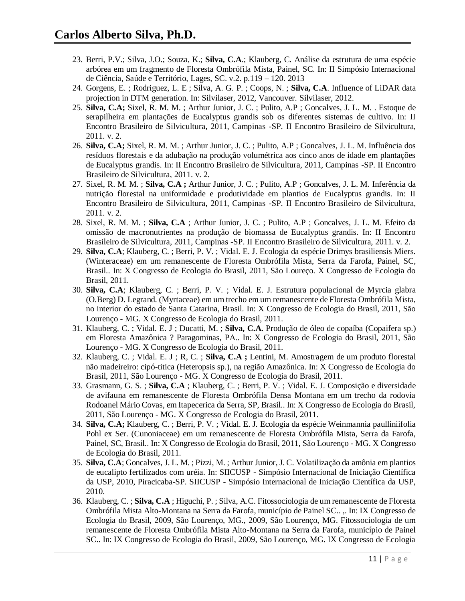- 23. Berri, P.V.; Silva, J.O.; Souza, K.; **Silva, C.A**.; Klauberg, C. Análise da estrutura de uma espécie arbórea em um fragmento de Floresta Ombrófila Mista, Painel, SC. In: II Simpósio Internacional de Ciência, Saúde e Território, Lages, SC. v.2. p.119 – 120. 2013
- 24. Gorgens, E. ; Rodriguez, L. E ; Silva, A. G. P. ; Coops, N. ; **Silva, C.A**. Influence of LiDAR data projection in DTM generation. In: Silvilaser, 2012, Vancouver. Silvilaser, 2012.
- 25. **Silva, C.A;** Sixel, R. M. M. ; Arthur Junior, J. C. ; Pulito, A.P ; Goncalves, J. L. M. . Estoque de serapilheira em plantações de Eucalyptus grandis sob os diferentes sistemas de cultivo. In: II Encontro Brasileiro de Silvicultura, 2011, Campinas -SP. II Encontro Brasileiro de Silvicultura, 2011. v. 2.
- 26. **Silva, C.A;** Sixel, R. M. M. ; Arthur Junior, J. C. ; Pulito, A.P ; Goncalves, J. L. M. Influência dos resíduos florestais e da adubação na produção volumétrica aos cinco anos de idade em plantações de Eucalyptus grandis. In: II Encontro Brasileiro de Silvicultura, 2011, Campinas -SP. II Encontro Brasileiro de Silvicultura, 2011. v. 2.
- 27. Sixel, R. M. M. ; **Silva, C.A ;** Arthur Junior, J. C. ; Pulito, A.P ; Goncalves, J. L. M. Inferência da nutrição florestal na uniformidade e produtividade em plantios de Eucalyptus grandis. In: II Encontro Brasileiro de Silvicultura, 2011, Campinas -SP. II Encontro Brasileiro de Silvicultura, 2011. v. 2.
- 28. Sixel, R. M. M. ; **Silva, C.A** ; Arthur Junior, J. C. ; Pulito, A.P ; Goncalves, J. L. M. Efeito da omissão de macronutrientes na produção de biomassa de Eucalyptus grandis. In: II Encontro Brasileiro de Silvicultura, 2011, Campinas -SP. II Encontro Brasileiro de Silvicultura, 2011. v. 2.
- 29. **Silva, C.A**; Klauberg, C. ; Berri, P. V. ; Vidal. E. J. Ecologia da espécie Drimys brasiliensis Miers. (Winteraceae) em um remanescente de Floresta Ombrófila Mista, Serra da Farofa, Painel, SC, Brasil.. In: X Congresso de Ecologia do Brasil, 2011, São Loureço. X Congresso de Ecologia do Brasil, 2011.
- 30. **Silva, C.A**; Klauberg, C. ; Berri, P. V. ; Vidal. E. J. Estrutura populacional de Myrcia glabra (O.Berg) D. Legrand. (Myrtaceae) em um trecho em um remanescente de Floresta Ombrófila Mista, no interior do estado de Santa Catarina, Brasil. In: X Congresso de Ecologia do Brasil, 2011, São Lourenço - MG. X Congresso de Ecologia do Brasil, 2011.
- 31. Klauberg, C. ; Vidal. E. J ; Ducatti, M. ; **Silva, C.A.** Produção de óleo de copaíba (Copaifera sp.) em Floresta Amazônica ? Paragominas, PA.. In: X Congresso de Ecologia do Brasil, 2011, São Lourenço - MG. X Congresso de Ecologia do Brasil, 2011.
- 32. Klauberg, C. ; Vidal. E. J ; R, C. ; **Silva, C.A ;** Lentini, M. Amostragem de um produto florestal não madeireiro: cipó-titica (Heteropsis sp.), na região Amazônica. In: X Congresso de Ecologia do Brasil, 2011, São Lourenço - MG. X Congresso de Ecologia do Brasil, 2011.
- 33. Grasmann, G. S. ; **Silva, C.A** ; Klauberg, C. ; Berri, P. V. ; Vidal. E. J. Composição e diversidade de avifauna em remanescente de Floresta Ombrófila Densa Montana em um trecho da rodovia Rodoanel Mário Covas, em Itapecerica da Serra, SP, Brasil.. In: X Congresso de Ecologia do Brasil, 2011, São Lourenço - MG. X Congresso de Ecologia do Brasil, 2011.
- 34. **Silva, C.A;** Klauberg, C. ; Berri, P. V. ; Vidal. E. J. Ecologia da espécie Weinmannia paulliniifolia Pohl ex Ser. (Cunoniaceae) em um remanescente de Floresta Ombrófila Mista, Serra da Farofa, Painel, SC, Brasil.. In: X Congresso de Ecologia do Brasil, 2011, São Lourenço - MG. X Congresso de Ecologia do Brasil, 2011.
- 35. **Silva, C.A**; Goncalves, J. L. M. ; Pizzi, M. ; Arthur Junior, J. C. Volatilização da amônia em plantios de eucalipto fertilizados com uréia. In: SIICUSP - Simpósio Internacional de Iniciação Científica da USP, 2010, Piracicaba-SP. SIICUSP - Simpósio Internacional de Iniciação Científica da USP, 2010.
- 36. Klauberg, C. ; **Silva, C.A** ; Higuchi, P. ; Silva, A.C. Fitossociologia de um remanescente de Floresta Ombrófila Mista Alto-Montana na Serra da Farofa, município de Painel SC.. ,. In: IX Congresso de Ecologia do Brasil, 2009, São Lourenço, MG., 2009, São Lourenço, MG. Fitossociologia de um remanescente de Floresta Ombrófila Mista Alto-Montana na Serra da Farofa, município de Painel SC.. In: IX Congresso de Ecologia do Brasil, 2009, São Lourenço, MG. IX Congresso de Ecologia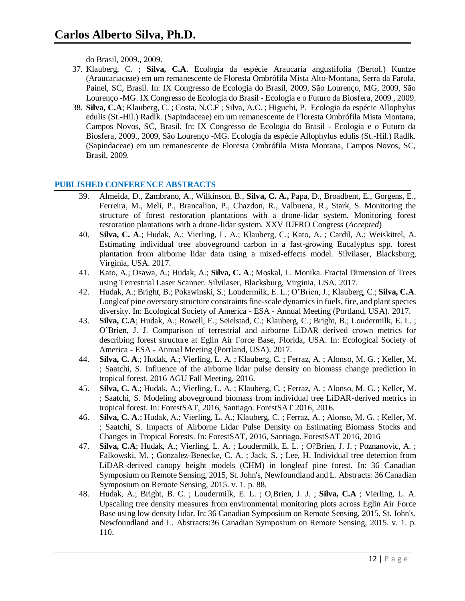do Brasil, 2009., 2009.

- 37. Klauberg, C. ; **Silva, C.A**. Ecologia da espécie Araucaria angustifolia (Bertol.) Kuntze (Araucariaceae) em um remanescente de Floresta Ombrófila Mista Alto-Montana, Serra da Farofa, Painel, SC, Brasil. In: IX Congresso de Ecologia do Brasil, 2009, São Lourenço, MG, 2009, São Lourenço -MG. IX Congresso de Ecologia do Brasil - Ecologia e o Futuro da Biosfera, 2009., 2009.
- 38. **Silva, C.A**; Klauberg, C. ; Costa, N.C.F ; Silva, A.C. ; Higuchi, P. Ecologia da espécie Allophylus edulis (St.-Hil.) Radlk. (Sapindaceae) em um remanescente de Floresta Ombrófila Mista Montana, Campos Novos, SC, Brasil. In: IX Congresso de Ecologia do Brasil - Ecologia e o Futuro da Biosfera, 2009., 2009, São Lourenço -MG. Ecologia da espécie Allophylus edulis (St.-Hil.) Radlk. (Sapindaceae) em um remanescente de Floresta Ombrófila Mista Montana, Campos Novos, SC, Brasil, 2009.

## **PUBLISHED CONFERENCE ABSTRACTS**

- 39. Almeida, D., Zambrano, A., Wilkinson, B., **Silva, C. A.,** Papa, D., Broadbent, E., Gorgens, E., Ferreira, M., Meli, P., Brancalion, P., Chazdon, R., Valbuena, R., Stark, S. Monitoring the structure of forest restoration plantations with a drone-lidar system. Monitoring forest restoration plantations with a drone-lidar system. XXV IUFRO Congress (*Accepted*)
- 40. **Silva, C. A**.; Hudak, A.; Vierling, L. A.; Klauberg, C.; Kato, A. ; Cardil, A.; Weiskittel, A. Estimating individual tree aboveground carbon in a fast-growing Eucalyptus spp. forest plantation from airborne lidar data using a mixed-effects model. Silvilaser, Blacksburg, Virginia, USA. 2017.
- 41. Kato, A.; Osawa, A.; Hudak, A.; **Silva, C. A**.; Moskal, L. Monika. Fractal Dimension of Trees using Terrestrial Laser Scanner. Silvilaser, Blacksburg, Virginia, USA. 2017.
- 42. Hudak, A.; Bright, B.; Pokswinski, S.; Loudermilk, E. L.; O'Brien, J.; Klauberg, C.; **Silva, C.A**. Longleaf pine overstory structure constraints fine-scale dynamics in fuels, fire, and plant species diversity. In: Ecological Society of America - ESA - Annual Meeting (Portland, USA). 2017.
- 43. **Silva, C.A**; Hudak, A.; Rowell, E.; Seielstad, C.; Klauberg, C.; Bright, B.; Loudermilk, E. L. ; O'Brien, J. J. Comparison of terrestrial and airborne LiDAR derived crown metrics for describing forest structure at Eglin Air Force Base, Florida, USA. In: Ecological Society of America - ESA - Annual Meeting (Portland, USA). 2017.
- 44. **Silva, C. A**.; Hudak, A.; Vierling, L. A. ; Klauberg, C. ; Ferraz, A. ; Alonso, M. G. ; Keller, M. ; Saatchi, S. Influence of the airborne lidar pulse density on biomass change prediction in tropical forest. 2016 AGU Fall Meeting, 2016.
- 45. **Silva, C. A**.; Hudak, A.; Vierling, L. A. ; Klauberg, C. ; Ferraz, A. ; Alonso, M. G. ; Keller, M. ; Saatchi, S. Modeling aboveground biomass from individual tree LiDAR-derived metrics in tropical forest. In: ForestSAT, 2016, Santiago. ForestSAT 2016, 2016.
- 46. **Silva, C. A**.; Hudak, A.; Vierling, L. A.; Klauberg, C. ; Ferraz, A. ; Alonso, M. G. ; Keller, M. ; Saatchi, S. Impacts of Airborne Lidar Pulse Density on Estimating Biomass Stocks and Changes in Tropical Forests. In: ForestSAT, 2016, Santiago. ForestSAT 2016, 2016
- 47. **Silva, C.A**; Hudak, A.; Vierling, L. A. ; Loudermilk, E. L. ; O?Brien, J. J. ; Poznanovic, A. ; Falkowski, M. ; Gonzalez-Benecke, C. A. ; Jack, S. ; Lee, H. Individual tree detection from LiDAR-derived canopy height models (CHM) in longleaf pine forest. In: 36 Canadian Symposium on Remote Sensing, 2015, St. John's, Newfoundland and L. Abstracts: 36 Canadian Symposium on Remote Sensing, 2015. v. 1. p. 88.
- 48. Hudak, A.; Bright, B. C. ; Loudermilk, E. L. ; O,Brien, J. J. ; **Silva, C.A** ; Vierling, L. A. Upscaling tree density measures from environmental monitoring plots across Eglin Air Force Base using low density lidar. In: 36 Canadian Symposium on Remote Sensing, 2015, St. John's, Newfoundland and L. Abstracts:36 Canadian Symposium on Remote Sensing, 2015. v. 1. p. 110.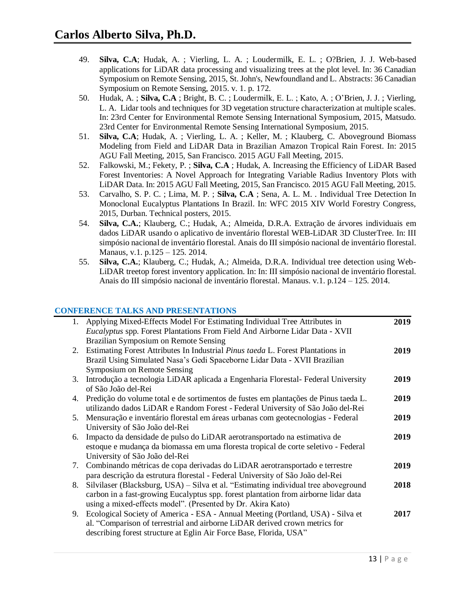- 49. **Silva, C.A**; Hudak, A. ; Vierling, L. A. ; Loudermilk, E. L. ; O?Brien, J. J. Web-based applications for LiDAR data processing and visualizing trees at the plot level. In: 36 Canadian Symposium on Remote Sensing, 2015, St. John's, Newfoundland and L. Abstracts: 36 Canadian Symposium on Remote Sensing, 2015. v. 1. p. 172.
- 50. Hudak, A. ; **Silva, C.A** ; Bright, B. C. ; Loudermilk, E. L. ; Kato, A. ; O'Brien, J. J. ; Vierling, L. A. Lidar tools and techniques for 3D vegetation structure characterization at multiple scales. In: 23rd Center for Environmental Remote Sensing International Symposium, 2015, Matsudo. 23rd Center for Environmental Remote Sensing International Symposium, 2015.
- 51. **Silva, C.A**; Hudak, A. ; Vierling, L. A. ; Keller, M. ; Klauberg, C. Aboveground Biomass Modeling from Field and LiDAR Data in Brazilian Amazon Tropical Rain Forest. In: 2015 AGU Fall Meeting, 2015, San Francisco. 2015 AGU Fall Meeting, 2015.
- 52. Falkowski, M.; Fekety, P. ; **Silva, C.A** ; Hudak, A. Increasing the Efficiency of LiDAR Based Forest Inventories: A Novel Approach for Integrating Variable Radius Inventory Plots with LiDAR Data. In: 2015 AGU Fall Meeting, 2015, San Francisco. 2015 AGU Fall Meeting, 2015.
- 53. Carvalho, S. P. C. ; Lima, M. P. ; **Silva, C.A** ; Sena, A. L. M. . Individual Tree Detection In Monoclonal Eucalyptus Plantations In Brazil. In: WFC 2015 XIV World Forestry Congress, 2015, Durban. Technical posters, 2015.
- 54. **Silva, C.A.**; Klauberg, C.; Hudak, A.; Almeida, D.R.A. Extração de árvores individuais em dados LiDAR usando o aplicativo de inventário florestal WEB-LiDAR 3D ClusterTree. In: III simpósio nacional de inventário florestal. Anais do III simpósio nacional de inventário florestal. Manaus, v.1. p.125 – 125. 2014.
- 55. **Silva, C.A.**; Klauberg, C.; Hudak, A.; Almeida, D.R.A. Individual tree detection using Web-LiDAR treetop forest inventory application. In: In: III simpósio nacional de inventário florestal. Anais do III simpósio nacional de inventário florestal. Manaus. v.1. p.124 – 125. 2014.

# **CONFERENCE TALKS AND PRESENTATIONS**

|    | 1. Applying Mixed-Effects Model For Estimating Individual Tree Attributes in           | 2019 |
|----|----------------------------------------------------------------------------------------|------|
|    | Eucalyptus spp. Forest Plantations From Field And Airborne Lidar Data - XVII           |      |
|    | Brazilian Symposium on Remote Sensing                                                  |      |
|    | 2. Estimating Forest Attributes In Industrial Pinus taeda L. Forest Plantations in     | 2019 |
|    | Brazil Using Simulated Nasa's Gedi Spaceborne Lidar Data - XVII Brazilian              |      |
|    | Symposium on Remote Sensing                                                            |      |
| 3. | Introdução a tecnologia LiDAR aplicada a Engenharia Florestal-Federal University       | 2019 |
|    | of São João del-Rei                                                                    |      |
|    | 4. Predição do volume total e de sortimentos de fustes em plantações de Pinus taeda L. | 2019 |
|    | utilizando dados LiDAR e Random Forest - Federal University of São João del-Rei        |      |
| 5. | Mensuração e inventário florestal em áreas urbanas com geotecnologias - Federal        | 2019 |
|    | University of São João del-Rei                                                         |      |
| 6. | Impacto da densidade de pulso do LiDAR aerotransportado na estimativa de               | 2019 |
|    | estoque e mudança da biomassa em uma floresta tropical de corte seletivo - Federal     |      |
|    | University of São João del-Rei                                                         |      |
|    | 7. Combinando métricas de copa derivadas do LiDAR aerotransportado e terrestre         | 2019 |
|    | para descrição da estrutura florestal - Federal University of São João del-Rei         |      |
| 8. | Silvilaser (Blacksburg, USA) - Silva et al. "Estimating individual tree aboveground    | 2018 |
|    | carbon in a fast-growing Eucalyptus spp. forest plantation from airborne lidar data    |      |
|    | using a mixed-effects model". (Presented by Dr. Akira Kato)                            |      |
| 9. | Ecological Society of America - ESA - Annual Meeting (Portland, USA) - Silva et        | 2017 |
|    | al. "Comparison of terrestrial and airborne LiDAR derived crown metrics for            |      |
|    | describing forest structure at Eglin Air Force Base, Florida, USA"                     |      |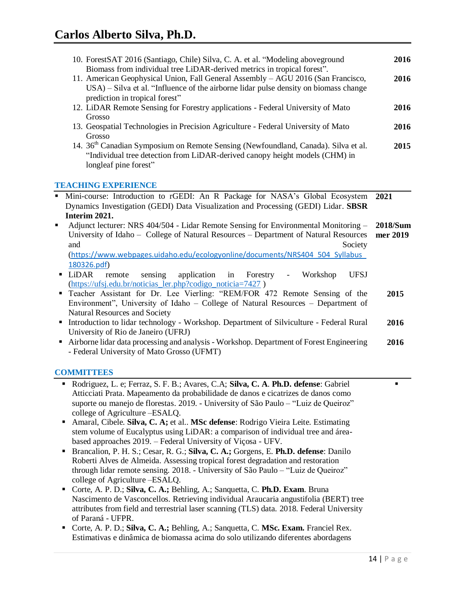| 10. ForestSAT 2016 (Santiago, Chile) Silva, C. A. et al. "Modeling aboveground                                                                                                                                                                                                                          | 2016                 |
|---------------------------------------------------------------------------------------------------------------------------------------------------------------------------------------------------------------------------------------------------------------------------------------------------------|----------------------|
| Biomass from individual tree LiDAR-derived metrics in tropical forest".<br>11. American Geophysical Union, Fall General Assembly - AGU 2016 (San Francisco,<br>USA) – Silva et al. "Influence of the airborne lidar pulse density on biomass change                                                     | 2016                 |
| prediction in tropical forest"<br>12. LiDAR Remote Sensing for Forestry applications - Federal University of Mato                                                                                                                                                                                       | 2016                 |
| Grosso<br>13. Geospatial Technologies in Precision Agriculture - Federal University of Mato<br>Grosso                                                                                                                                                                                                   | 2016                 |
| 14. 36 <sup>th</sup> Canadian Symposium on Remote Sensing (Newfoundland, Canada). Silva et al.<br>"Individual tree detection from LiDAR-derived canopy height models (CHM) in<br>longleaf pine forest"                                                                                                  | 2015                 |
| <b>TEACHING EXPERIENCE</b>                                                                                                                                                                                                                                                                              |                      |
| Mini-course: Introduction to rGEDI: An R Package for NASA's Global Ecosystem<br>Dynamics Investigation (GEDI) Data Visualization and Processing (GEDI) Lidar. SBSR<br>Interim 2021.                                                                                                                     | 2021                 |
| Adjunct lecturer: NRS 404/504 - Lidar Remote Sensing for Environmental Monitoring –<br>University of Idaho - College of Natural Resources - Department of Natural Resources<br>Society<br>and<br>(https://www.webpages.uidaho.edu/ecologyonline/documents/NRS404_504_Syllabus                           | 2018/Sum<br>mer 2019 |
| 180326.pdf)<br>LiDAR<br>sensing<br>application<br>Workshop<br><b>UFSJ</b><br>remote<br>Forestry<br>٠<br>in<br>(https://ufsj.edu.br/noticias_ler.php?codigo_noticia=7427)                                                                                                                                |                      |
| Teacher Assistant for Dr. Lee Vierling: "REM/FOR 472 Remote Sensing of the<br>$\blacksquare$<br>Environment", University of Idaho - College of Natural Resources - Department of                                                                                                                        | 2015                 |
| Natural Resources and Society<br>Introduction to lidar technology - Workshop. Department of Silviculture - Federal Rural<br>٠<br>University of Rio de Janeiro (UFRJ)                                                                                                                                    | 2016                 |
| Airborne lidar data processing and analysis - Workshop. Department of Forest Engineering<br>$\blacksquare$<br>- Federal University of Mato Grosso (UFMT)                                                                                                                                                | 2016                 |
| <b>COMMITTEES</b>                                                                                                                                                                                                                                                                                       |                      |
| Rodriguez, L. e; Ferraz, S. F. B.; Avares, C.A; Silva, C. A. Ph.D. defense: Gabriel<br>٠<br>Atticciati Prata. Mapeamento da probabilidade de danos e cicatrizes de danos como<br>suporte ou manejo de florestas. 2019. - University of São Paulo – "Luiz de Queiroz"<br>college of Agriculture – ESALQ. | п                    |

- Amaral, Cibele. **Silva, C. A;** et al.. **MSc defense**: Rodrigo Vieira Leite. Estimating stem volume of Eucalyptus using LiDAR: a comparison of individual tree and áreabased approaches 2019. – Federal University of Viçosa - UFV.
- Brancalion, P. H. S.; Cesar, R. G.; **Silva, C. A.;** Gorgens, E. **Ph.D. defense**: Danilo Roberti Alves de Almeida. Assessing tropical forest degradation and restoration through lidar remote sensing. 2018. - University of São Paulo – "Luiz de Queiroz" college of Agriculture –ESALQ.
- Corte, A. P. D.; **Silva, C. A.;** Behling, A.; Sanquetta, C. **Ph.D. Exam**. Bruna Nascimento de Vasconcellos. Retrieving individual Araucaria angustifolia (BERT) tree attributes from field and terrestrial laser scanning (TLS) data. 2018. Federal University of Paraná - UFPR.
- Corte, A. P. D.; **Silva, C. A.;** Behling, A.; Sanquetta, C. **MSc. Exam.** Franciel Rex. Estimativas e dinâmica de biomassa acima do solo utilizando diferentes abordagens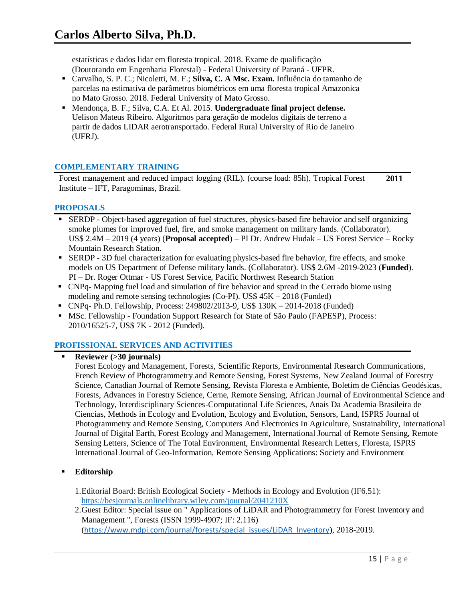estatísticas e dados lidar em floresta tropical. 2018. Exame de qualificação (Doutorando em Engenharia Florestal) - Federal University of Paraná - UFPR.

- Carvalho, S. P. C.; Nicoletti, M. F.; **Silva, C. A Msc. Exam.** Influência do tamanho de parcelas na estimativa de parâmetros biométricos em uma floresta tropical Amazonica no Mato Grosso. 2018. Federal University of Mato Grosso.
- Mendonça, B. F.; Silva, C.A. Et Al. 2015. **Undergraduate final project defense.**  Uelison Mateus Ribeiro. Algoritmos para geração de modelos digitais de terreno a partir de dados LIDAR aerotransportado. Federal Rural University of Rio de Janeiro (UFRJ).

## **COMPLEMENTARY TRAINING**

Forest management and reduced impact logging (RIL). (course load: 85h). Tropical Forest Institute – IFT, Paragominas, Brazil. **2011**

## **PROPOSALS**

- SERDP Object-based aggregation of fuel structures, physics-based fire behavior and self organizing smoke plumes for improved fuel, fire, and smoke management on military lands. (Collaborator). US\$ 2.4M – 2019 (4 years) (**Proposal accepted**) – PI Dr. Andrew Hudak – US Forest Service – Rocky Mountain Research Station.
- SERDP 3D fuel characterization for evaluating physics-based fire behavior, fire effects, and smoke models on US Department of Defense military lands. (Collaborator). US\$ 2.6M -2019-2023 (**Funded**). PI – Dr. Roger Ottmar - US Forest Service, Pacific Northwest Research Station
- CNPq- Mapping fuel load and simulation of fire behavior and spread in the Cerrado biome using modeling and remote sensing technologies (Co-PI). US\$ 45K – 2018 (Funded)
- CNPq- Ph.D. Fellowship, Process: 249802/2013-9, US\$ 130K 2014-2018 (Funded)
- MSc. Fellowship Foundation Support Research for State of São Paulo (FAPESP), Process: 2010/16525-7, US\$ 7K - 2012 (Funded).

# **PROFISSIONAL SERVICES AND ACTIVITIES**

## **Reviewer (>30 journals)**

Forest Ecology and Management, Forests, Scientific Reports, Environmental Research Communications, French Review of Photogrammetry and Remote Sensing, Forest Systems, New Zealand Journal of Forestry Science, Canadian Journal of Remote Sensing, Revista Floresta e Ambiente, Boletim de Ciências Geodésicas, Forests, Advances in Forestry Science, Cerne, Remote Sensing, African Journal of Environmental Science and Technology, Interdisciplinary Sciences-Computational Life Sciences, Anais Da Academia Brasileira de Ciencias, Methods in Ecology and Evolution, Ecology and Evolution, Sensors, Land, ISPRS Journal of Photogrammetry and Remote Sensing, Computers And Electronics In Agriculture, Sustainability, International Journal of Digital Earth, Forest Ecology and Management, International Journal of Remote Sensing, Remote Sensing Letters, Science of The Total Environment, Environmental Research Letters, Floresta, ISPRS International Journal of Geo-Information, Remote Sensing Applications: Society and Environment

# **Editorship**

- 1.Editorial Board: British Ecological Society Methods in Ecology and Evolution (IF6.51): <https://besjournals.onlinelibrary.wiley.com/journal/2041210X>
- 2.Guest Editor: Special issue on " Applications of LiDAR and Photogrammetry for Forest Inventory and Management ", Forests (ISSN 1999-4907; IF: 2.116) ([https://www.mdpi.com/journal/forests/special\\_issues/LiDAR\\_Inventory](https://www.mdpi.com/journal/forests/special_issues/LiDAR_Inventory)), 2018-2019.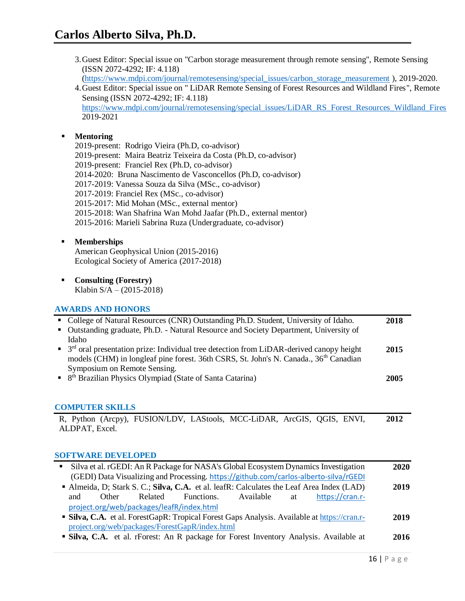- 3.Guest Editor: Special issue on "Carbon storage measurement through remote sensing", Remote Sensing (ISSN 2072-4292; IF: 4.118)
	- [\(https://www.mdpi.com/journal/remotesensing/special\\_issues/carbon\\_storage\\_measurement](https://www.mdpi.com/journal/remotesensing/special_issues/carbon_storage_measurement) ), 2019-2020.
- 4.Guest Editor: Special issue on " LiDAR Remote Sensing of Forest Resources and Wildland Fires", Remote Sensing (ISSN 2072-4292; IF: 4.118) [https://www.mdpi.com/journal/remotesensing/special\\_issues/LiDAR\\_RS\\_Forest\\_Resources\\_Wildland\\_Fires](https://www.mdpi.com/journal/remotesensing/special_issues/LiDAR_RS_Forest_Resources_Wildland_Fires) 2019-2021

# **Mentoring**

2019-present: Rodrigo Vieira (Ph.D, co-advisor) 2019-present: Maira Beatriz Teixeira da Costa (Ph.D, co-advisor) 2019-present: Franciel Rex (Ph.D, co-advisor) 2014-2020: Bruna Nascimento de Vasconcellos (Ph.D, co-advisor) 2017-2019: Vanessa Souza da Silva (MSc., co-advisor) 2017-2019: Franciel Rex (MSc., co-advisor) 2015-2017: Mid Mohan (MSc., external mentor) 2015-2018: Wan Shafrina Wan Mohd Jaafar (Ph.D., external mentor) 2015-2016: Marieli Sabrina Ruza (Undergraduate, co-advisor)

## **Memberships**

American Geophysical Union (2015-2016) Ecological Society of America (2017-2018)

 **Consulting (Forestry)** Klabin S/A – (2015-2018)

# **AWARDS AND HONORS**

| College of Natural Resources (CNR) Outstanding Ph.D. Student, University of Idaho.<br>Outstanding graduate, Ph.D. - Natural Resource and Society Department, University of                                                                                | 2018 |
|-----------------------------------------------------------------------------------------------------------------------------------------------------------------------------------------------------------------------------------------------------------|------|
| Idaho<br>$3rd$ oral presentation prize: Individual tree detection from LiDAR-derived canopy height<br>$\blacksquare$<br>models (CHM) in longleaf pine forest. 36th CSRS, St. John's N. Canada., 36 <sup>th</sup> Canadian<br>Symposium on Remote Sensing. | 2015 |
| 8 <sup>th</sup> Brazilian Physics Olympiad (State of Santa Catarina)                                                                                                                                                                                      | 2005 |
| <b>COMPUTER SKILLS</b>                                                                                                                                                                                                                                    |      |
| R, Python (Arcpy), FUSION/LDV, LAStools, MCC-LiDAR, ArcGIS, QGIS, ENVI,<br>ALDPAT, Excel.<br><b>SOFTWARE DEVELOPED</b>                                                                                                                                    | 2012 |
| Silva et al. rGEDI: An R Package for NASA's Global Ecosystem Dynamics Investigation<br>٠<br>(GEDI) Data Visualizing and Processing. https://github.com/carlos-alberto-silva/rGEDI                                                                         | 2020 |
| Almeida, D; Stark S. C.; Silva, C.A. et al. leafR: Calculates the Leaf Area Index (LAD)<br>Available<br>Other<br>Related<br>Functions.<br>https://cran.r-<br>and<br>at<br>project.org/web/packages/leafR/index.html                                       | 2019 |
| • Silva, C.A. et al. ForestGapR: Tropical Forest Gaps Analysis. Available at https://cran.r-<br>project.org/web/packages/ForestGapR/index.html                                                                                                            | 2019 |
| <b>Silva, C.A.</b> et al. rForest: An R package for Forest Inventory Analysis. Available at                                                                                                                                                               | 2016 |